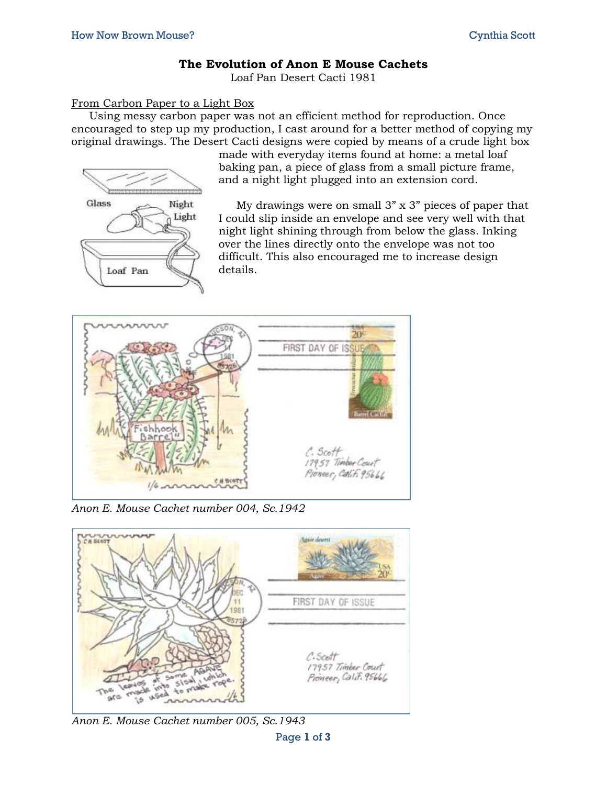## **The Evolution of Anon E Mouse Cachets**

Loaf Pan Desert Cacti 1981

## From Carbon Paper to a Light Box

Using messy carbon paper was not an efficient method for reproduction. Once encouraged to step up my production, I cast around for a better method of copying my original drawings. The Desert Cacti designs were copied by means of a crude light box



made with everyday items found at home: a metal loaf baking pan, a piece of glass from a small picture frame, and a night light plugged into an extension cord.

My drawings were on small 3" x 3" pieces of paper that I could slip inside an envelope and see very well with that night light shining through from below the glass. Inking over the lines directly onto the envelope was not too difficult. This also encouraged me to increase design details.



*Anon E. Mouse Cachet number 004, Sc.1942*



*Anon E. Mouse Cachet number 005, Sc.1943*

Page **1** of **3**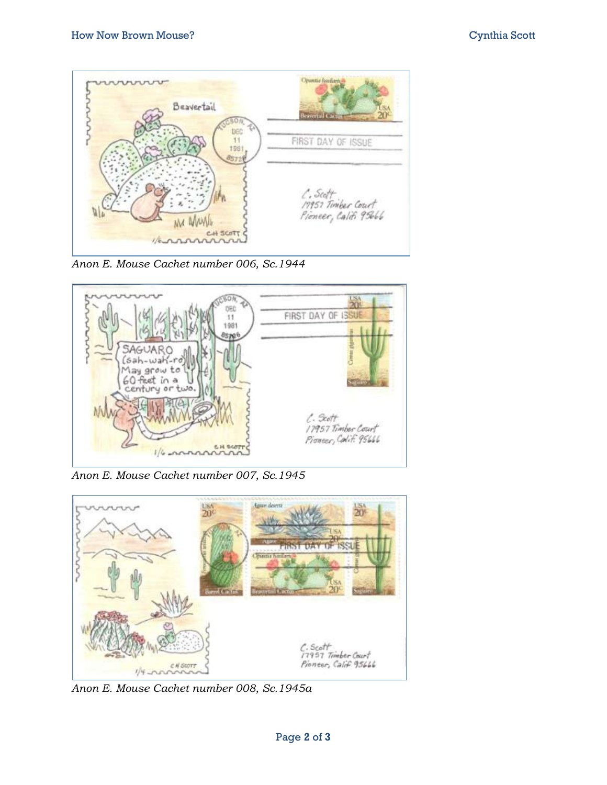

*Anon E. Mouse Cachet number 006, Sc.1944*



*Anon E. Mouse Cachet number 007, Sc.1945*



*Anon E. Mouse Cachet number 008, Sc.1945a*